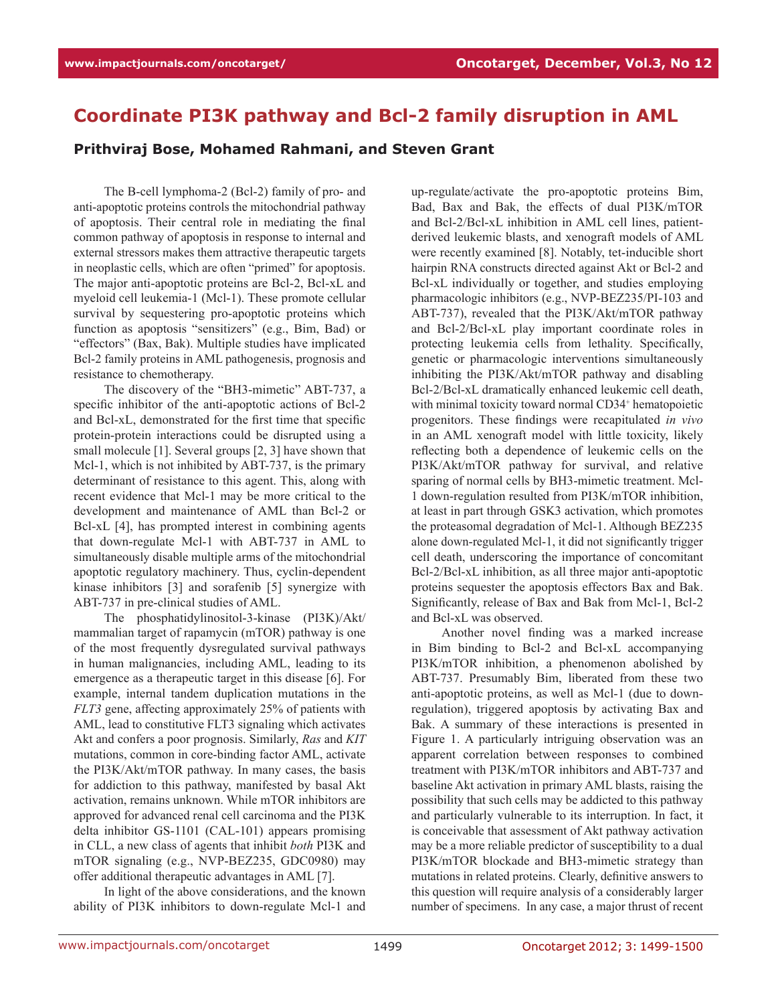## **Coordinate PI3K pathway and Bcl-2 family disruption in AML**

**Prithviraj Bose, Mohamed Rahmani, and Steven Grant**

The B-cell lymphoma-2 (Bcl-2) family of pro- and anti-apoptotic proteins controls the mitochondrial pathway of apoptosis. Their central role in mediating the final common pathway of apoptosis in response to internal and external stressors makes them attractive therapeutic targets in neoplastic cells, which are often "primed" for apoptosis. The major anti-apoptotic proteins are Bcl-2, Bcl-xL and myeloid cell leukemia-1 (Mcl-1). These promote cellular survival by sequestering pro-apoptotic proteins which function as apoptosis "sensitizers" (e.g., Bim, Bad) or "effectors" (Bax, Bak). Multiple studies have implicated Bcl-2 family proteins in AML pathogenesis, prognosis and resistance to chemotherapy.

The discovery of the "BH3-mimetic" ABT-737, a specific inhibitor of the anti-apoptotic actions of Bcl-2 and Bcl-xL, demonstrated for the first time that specific protein-protein interactions could be disrupted using a small molecule [1]. Several groups [2, 3] have shown that Mcl-1, which is not inhibited by ABT-737, is the primary determinant of resistance to this agent. This, along with recent evidence that Mcl-1 may be more critical to the development and maintenance of AML than Bcl-2 or Bcl-xL [4], has prompted interest in combining agents that down-regulate Mcl-1 with ABT-737 in AML to simultaneously disable multiple arms of the mitochondrial apoptotic regulatory machinery. Thus, cyclin-dependent kinase inhibitors [3] and sorafenib [5] synergize with ABT-737 in pre-clinical studies of AML.

The phosphatidylinositol-3-kinase (PI3K)/Akt/ mammalian target of rapamycin (mTOR) pathway is one of the most frequently dysregulated survival pathways in human malignancies, including AML, leading to its emergence as a therapeutic target in this disease [6]. For example, internal tandem duplication mutations in the *FLT3* gene, affecting approximately 25% of patients with AML, lead to constitutive FLT3 signaling which activates Akt and confers a poor prognosis. Similarly, *Ras* and *KIT* mutations, common in core-binding factor AML, activate the PI3K/Akt/mTOR pathway. In many cases, the basis for addiction to this pathway, manifested by basal Akt activation, remains unknown. While mTOR inhibitors are approved for advanced renal cell carcinoma and the PI3K delta inhibitor GS-1101 (CAL-101) appears promising in CLL, a new class of agents that inhibit *both* PI3K and mTOR signaling (e.g., NVP-BEZ235, GDC0980) may offer additional therapeutic advantages in AML [7].

In light of the above considerations, and the known ability of PI3K inhibitors to down-regulate Mcl-1 and up-regulate/activate the pro-apoptotic proteins Bim, Bad, Bax and Bak, the effects of dual PI3K/mTOR and Bcl-2/Bcl-xL inhibition in AML cell lines, patientderived leukemic blasts, and xenograft models of AML were recently examined [8]. Notably, tet-inducible short hairpin RNA constructs directed against Akt or Bcl-2 and Bcl-xL individually or together, and studies employing pharmacologic inhibitors (e.g., NVP-BEZ235/PI-103 and ABT-737), revealed that the PI3K/Akt/mTOR pathway and Bcl-2/Bcl-xL play important coordinate roles in protecting leukemia cells from lethality. Specifically, genetic or pharmacologic interventions simultaneously inhibiting the PI3K/Akt/mTOR pathway and disabling Bcl-2/Bcl-xL dramatically enhanced leukemic cell death, with minimal toxicity toward normal CD34<sup>+</sup> hematopoietic progenitors. These findings were recapitulated *in vivo* in an AML xenograft model with little toxicity, likely reflecting both a dependence of leukemic cells on the PI3K/Akt/mTOR pathway for survival, and relative sparing of normal cells by BH3-mimetic treatment. Mcl-1 down-regulation resulted from PI3K/mTOR inhibition, at least in part through GSK3 activation, which promotes the proteasomal degradation of Mcl-1. Although BEZ235 alone down-regulated Mcl-1, it did not significantly trigger cell death, underscoring the importance of concomitant Bcl-2/Bcl-xL inhibition, as all three major anti-apoptotic proteins sequester the apoptosis effectors Bax and Bak. Significantly, release of Bax and Bak from Mcl-1, Bcl-2 and Bcl-xL was observed.

Another novel finding was a marked increase in Bim binding to Bcl-2 and Bcl-xL accompanying PI3K/mTOR inhibition, a phenomenon abolished by ABT-737. Presumably Bim, liberated from these two anti-apoptotic proteins, as well as Mcl-1 (due to downregulation), triggered apoptosis by activating Bax and Bak. A summary of these interactions is presented in Figure 1. A particularly intriguing observation was an apparent correlation between responses to combined treatment with PI3K/mTOR inhibitors and ABT-737 and baseline Akt activation in primary AML blasts, raising the possibility that such cells may be addicted to this pathway and particularly vulnerable to its interruption. In fact, it is conceivable that assessment of Akt pathway activation may be a more reliable predictor of susceptibility to a dual PI3K/mTOR blockade and BH3-mimetic strategy than mutations in related proteins. Clearly, definitive answers to this question will require analysis of a considerably larger number of specimens. In any case, a major thrust of recent